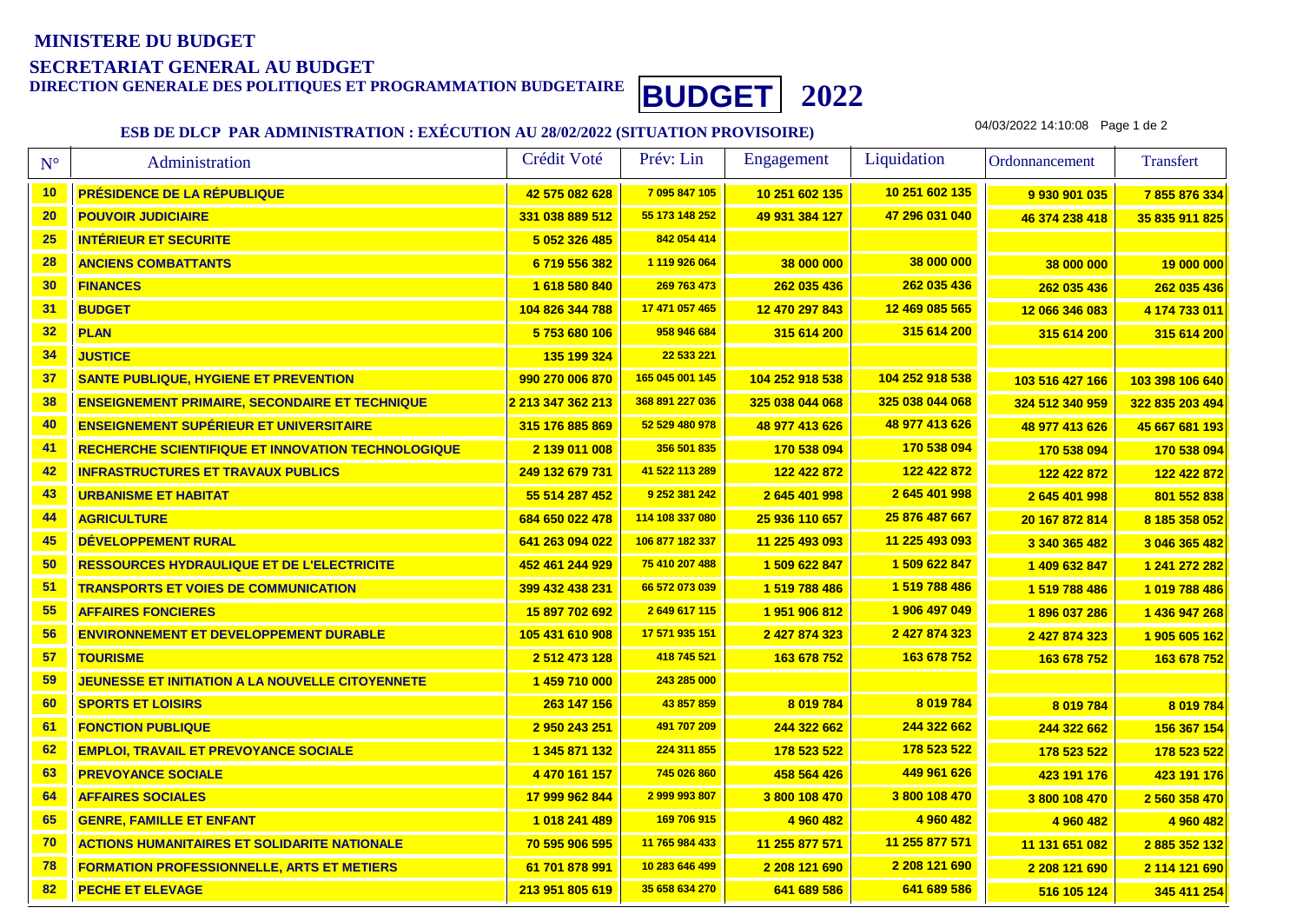# **MINISTERE DU BUDGETSECRETARIAT GENERAL AU BUDGET**

**DIRECTION GENERALE DES POLITIQUES ET PROGRAMMATION BUDGETAIRE BUDGET <sup>2022</sup>**

### **ESB DE DLCP PAR ADMINISTRATION : EXÉCUTION AU 28/02/2022 (SITUATION PROVISOIRE)**

04/03/2022 14:10:08 Page 1 de 2

| $N^{\circ}$ | Administration                                            | Crédit Voté                    | Prév: Lin       | Engagement      | Liquidation     | Ordonnancement  | <b>Transfert</b> |
|-------------|-----------------------------------------------------------|--------------------------------|-----------------|-----------------|-----------------|-----------------|------------------|
| 10          | <b>PRÉSIDENCE DE LA RÉPUBLIQUE</b>                        | 42 575 082 628                 | 7 095 847 105   | 10 251 602 135  | 10 251 602 135  | 9 930 901 035   | 7855876334       |
| 20          | <b>POUVOIR JUDICIAIRE</b>                                 | 331 038 889 512                | 55 173 148 252  | 49 931 384 127  | 47 296 031 040  | 46 374 238 418  | 35 835 911 825   |
| 25          | <b>INTÉRIEUR ET SECURITE</b>                              | 5 052 326 485                  | 842 054 414     |                 |                 |                 |                  |
| 28          | <b>ANCIENS COMBATTANTS</b>                                | 6719556382                     | 1 119 926 064   | 38 000 000      | 38 000 000      | 38 000 000      | 19 000 000       |
| 30          | <b>FINANCES</b>                                           | 1 618 580 840                  | 269 763 473     | 262 035 436     | 262 035 436     | 262 035 436     | 262 035 436      |
| 31          | <b>BUDGET</b>                                             | 104 826 344 788                | 17 471 057 465  | 12 470 297 843  | 12 469 085 565  | 12 066 346 083  | 4 174 733 011    |
| 32          | <b>PLAN</b>                                               | 5753680106                     | 958 946 684     | 315 614 200     | 315 614 200     | 315 614 200     | 315 614 200      |
| 34          | <b>JUSTICE</b>                                            | 135 199 324                    | 22 533 221      |                 |                 |                 |                  |
| 37          | <b>SANTE PUBLIQUE, HYGIENE ET PREVENTION</b>              | 990 270 006 870                | 165 045 001 145 | 104 252 918 538 | 104 252 918 538 | 103 516 427 166 | 103 398 106 640  |
| 38          | <b>ENSEIGNEMENT PRIMAIRE, SECONDAIRE ET TECHNIQUE</b>     | <mark>2 213 347 362 213</mark> | 368 891 227 036 | 325 038 044 068 | 325 038 044 068 | 324 512 340 959 | 322 835 203 494  |
| 40          | <b>ENSEIGNEMENT SUPÉRIEUR ET UNIVERSITAIRE</b>            | 315 176 885 869                | 52 529 480 978  | 48 977 413 626  | 48 977 413 626  | 48 977 413 626  | 45 667 681 193   |
| 41          | <b>RECHERCHE SCIENTIFIQUE ET INNOVATION TECHNOLOGIQUE</b> | 2 139 011 008                  | 356 501 835     | 170 538 094     | 170 538 094     | 170 538 094     | 170 538 094      |
| 42          | <b>INFRASTRUCTURES ET TRAVAUX PUBLICS</b>                 | 249 132 679 731                | 41 522 113 289  | 122 422 872     | 122 422 872     | 122 422 872     | 122 422 872      |
| 43          | <b>URBANISME ET HABITAT</b>                               | 55 514 287 452                 | 9 252 381 242   | 2 645 401 998   | 2 645 401 998   | 2645401998      | 801 552 838      |
| 44          | <b>AGRICULTURE</b>                                        | 684 650 022 478                | 114 108 337 080 | 25 936 110 657  | 25 876 487 667  | 20 167 872 814  | 8 185 358 052    |
| 45          | DÉVELOPPEMENT RURAL                                       | 641 263 094 022                | 106 877 182 337 | 11 225 493 093  | 11 225 493 093  | 3 340 365 482   | 3 046 365 482    |
| 50          | <b>RESSOURCES HYDRAULIQUE ET DE L'ELECTRICITE</b>         | 452 461 244 929                | 75 410 207 488  | 1 509 622 847   | 1 509 622 847   | 1 409 632 847   | 1 241 272 282    |
| 51          | <b>TRANSPORTS ET VOIES DE COMMUNICATION</b>               | 399 432 438 231                | 66 572 073 039  | 1519788486      | 1 519 788 486   | 1 519 788 486   | 1019788486       |
| 55          | <b>AFFAIRES FONCIERES</b>                                 | 15 897 702 692                 | 2649617115      | 1951906812      | 1 906 497 049   | 1896 037 286    | 1 436 947 268    |
| 56          | <b>ENVIRONNEMENT ET DEVELOPPEMENT DURABLE</b>             | 105 431 610 908                | 17 571 935 151  | 2 427 874 323   | 2 427 874 323   | 2 427 874 323   | 1905 605 162     |
| 57          | <b>TOURISME</b>                                           | 2 512 473 128                  | 418 745 521     | 163 678 752     | 163 678 752     | 163 678 752     | 163 678 752      |
| 59          | JEUNESSE ET INITIATION A LA NOUVELLE CITOYENNETE          | 1 459 710 000                  | 243 285 000     |                 |                 |                 |                  |
| 60          | <b>SPORTS ET LOISIRS</b>                                  | 263 147 156                    | 43 857 859      | 8 019 784       | 8 019 784       | 8 019 784       | 8 019 784        |
| 61          | <b>FONCTION PUBLIQUE</b>                                  | 2 950 243 251                  | 491 707 209     | 244 322 662     | 244 322 662     | 244 322 662     | 156 367 154      |
| 62          | <b>EMPLOI, TRAVAIL ET PREVOYANCE SOCIALE</b>              | 1 345 871 132                  | 224 311 855     | 178 523 522     | 178 523 522     | 178 523 522     | 178 523 522      |
| 63          | <b>PREVOYANCE SOCIALE</b>                                 | 4 470 161 157                  | 745 026 860     | 458 564 426     | 449 961 626     | 423 191 176     | 423 191 176      |
| 64          | <b>AFFAIRES SOCIALES</b>                                  | 17 999 962 844                 | 2 999 993 807   | 3800 108 470    | 3800 108 470    | 3 800 108 470   | 2 560 358 470    |
| 65          | <b>GENRE, FAMILLE ET ENFANT</b>                           | 1 018 241 489                  | 169 706 915     | 4 960 482       | 4 960 482       | 4 960 482       | 4 960 482        |
| 70          | <b>ACTIONS HUMANITAIRES ET SOLIDARITE NATIONALE</b>       | 70 595 906 595                 | 11 765 984 433  | 11 255 877 571  | 11 255 877 571  | 11 131 651 082  | 2885352132       |
| 78          | <b>FORMATION PROFESSIONNELLE, ARTS ET METIERS</b>         | 61 701 878 991                 | 10 283 646 499  | 2 208 121 690   | 2 208 121 690   | 2 208 121 690   | 2 114 121 690    |
| 82          | <b>PECHE ET ELEVAGE</b>                                   | 213 951 805 619                | 35 658 634 270  | 641 689 586     | 641 689 586     | 516 105 124     | 345 411 254      |